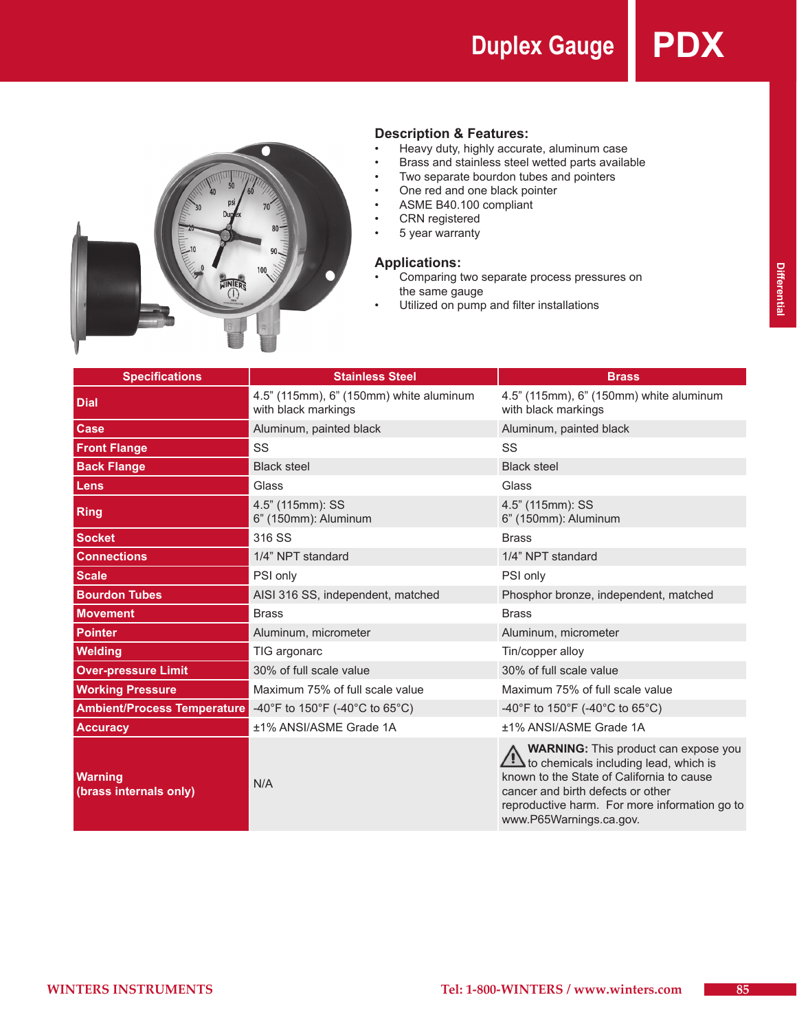**Duplex Gauge PDX**



## **Description & Features:**

- • Heavy duty, highly accurate, aluminum case
- Brass and stainless steel wetted parts available
- • Two separate bourdon tubes and pointers
- • One red and one black pointer
- • ASME B40.100 compliant
- • CRN registered
- • 5 year warranty

### **Applications:**

- Comparing two separate process pressures on the same gauge
- Utilized on pump and filter installations

| <b>Specifications</b>                    | <b>Stainless Steel</b>                                         | <b>Brass</b>                                                                                                                                                                                                                                                    |  |  |
|------------------------------------------|----------------------------------------------------------------|-----------------------------------------------------------------------------------------------------------------------------------------------------------------------------------------------------------------------------------------------------------------|--|--|
| <b>Dial</b>                              | 4.5" (115mm), 6" (150mm) white aluminum<br>with black markings | 4.5" (115mm), 6" (150mm) white aluminum<br>with black markings                                                                                                                                                                                                  |  |  |
| Case                                     | Aluminum, painted black                                        | Aluminum, painted black                                                                                                                                                                                                                                         |  |  |
| <b>Front Flange</b>                      | SS                                                             | SS                                                                                                                                                                                                                                                              |  |  |
| <b>Back Flange</b>                       | <b>Black steel</b>                                             | <b>Black steel</b>                                                                                                                                                                                                                                              |  |  |
| Lens                                     | Glass                                                          | Glass                                                                                                                                                                                                                                                           |  |  |
| <b>Ring</b>                              | 4.5" (115mm): SS<br>6" (150mm): Aluminum                       | 4.5" (115mm): SS<br>6" (150mm): Aluminum                                                                                                                                                                                                                        |  |  |
| <b>Socket</b>                            | 316 SS                                                         | <b>Brass</b>                                                                                                                                                                                                                                                    |  |  |
| <b>Connections</b>                       | 1/4" NPT standard                                              | 1/4" NPT standard                                                                                                                                                                                                                                               |  |  |
| <b>Scale</b>                             | PSI only                                                       | PSI only                                                                                                                                                                                                                                                        |  |  |
| <b>Bourdon Tubes</b>                     | AISI 316 SS, independent, matched                              | Phosphor bronze, independent, matched                                                                                                                                                                                                                           |  |  |
| <b>Movement</b>                          | <b>Brass</b>                                                   | <b>Brass</b>                                                                                                                                                                                                                                                    |  |  |
| <b>Pointer</b>                           | Aluminum, micrometer                                           | Aluminum, micrometer                                                                                                                                                                                                                                            |  |  |
| <b>Welding</b>                           | TIG argonarc                                                   | Tin/copper alloy                                                                                                                                                                                                                                                |  |  |
| <b>Over-pressure Limit</b>               | 30% of full scale value                                        | 30% of full scale value                                                                                                                                                                                                                                         |  |  |
| <b>Working Pressure</b>                  | Maximum 75% of full scale value                                | Maximum 75% of full scale value                                                                                                                                                                                                                                 |  |  |
| <b>Ambient/Process Temperature</b>       | -40°F to 150°F (-40°C to 65°C)                                 | -40°F to 150°F (-40°C to 65°C)                                                                                                                                                                                                                                  |  |  |
| <b>Accuracy</b>                          | ±1% ANSI/ASME Grade 1A                                         | ±1% ANSI/ASME Grade 1A                                                                                                                                                                                                                                          |  |  |
| <b>Warning</b><br>(brass internals only) | N/A                                                            | <b>WARNING:</b> This product can expose you<br>$\mathbf{?}$ to chemicals including lead, which is<br>known to the State of California to cause<br>cancer and birth defects or other<br>reproductive harm. For more information go to<br>www.P65Warnings.ca.gov. |  |  |